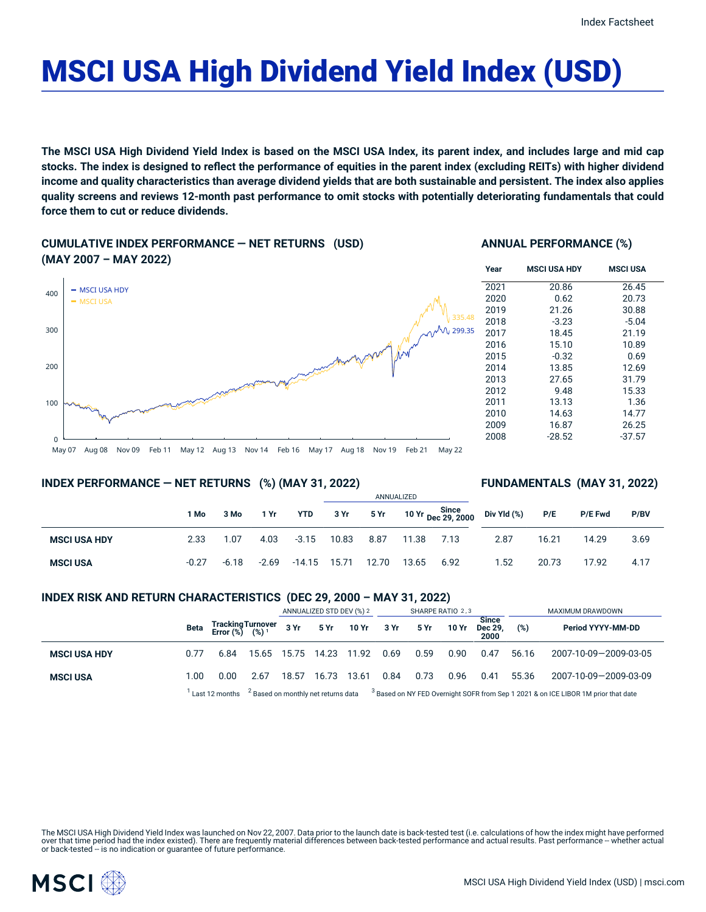# MSCI USA High Dividend Yield Index (USD)

The MSCI USA High Dividend Yield Index is based on the MSCI USA Index, its parent index, and includes large and mid cap stocks. The index is designed to reflect the performance of equities in the parent index (excluding REITs) with higher dividend income and quality characteristics than average dividend yields that are both sustainable and persistent. The index also applies quality screens and reviews 12-month past performance to omit stocks with potentially deteriorating fundamentals that could **force them to cut or reduce dividends.**

**CUMULATIVE INDEX PERFORMANCE — NET RETURNS (USD) (MAY 2007 – MAY 2022)**

## **ANNUAL PERFORMANCE (%)**



## 2016 15.10 10.89 2015 -0.32 0.69 2014 13.85 12.69 2013 27.65 31.79 2012 9.48 15.33 2011 13.13 1.36 2010 14.63 14.77 2009 16.87 26.25 2008 -28.52 -37.57

## **INDEX PERFORMANCE — NET RETURNS (%) (MAY 31, 2022)**

## **FUNDAMENTALS (MAY 31, 2022)**

|                     |         |         |       |                | ANNUALIZED |       |       |                                  |             |       |                |      |
|---------------------|---------|---------|-------|----------------|------------|-------|-------|----------------------------------|-------------|-------|----------------|------|
|                     | 1 Mo    | 3 Mo    | 1 Yr  | YTD            | 3 Yr       |       |       | 5 Yr 10 Yr Since<br>Dec 29, 2000 | Div Yld (%) | P/E   | <b>P/E Fwd</b> | P/BV |
| <b>MSCI USA HDY</b> | 2.33    | 1.07    | 4.03  | $-3.15$        | 10.83      | 8.87  | 11.38 | 7.13                             | 2.87        | 16.21 | 14.29          | 3.69 |
| <b>MSCI USA</b>     | $-0.27$ | $-6.18$ | -2.69 | $-14.15$ 15.71 |            | 12.70 | 13.65 | 6.92                             | 1.52        | 20.73 | 17.92          | 4.17 |

## **INDEX RISK AND RETURN CHARACTERISTICS (DEC 29, 2000 – MAY 31, 2022)**

|                     |      |                                                 |       | ANNUALIZED STD DEV (%) 2 |                                                |       | SHARPE RATIO 2,3 |      |       |                                 | MAXIMUM DRAWDOWN |                                                                                               |  |
|---------------------|------|-------------------------------------------------|-------|--------------------------|------------------------------------------------|-------|------------------|------|-------|---------------------------------|------------------|-----------------------------------------------------------------------------------------------|--|
|                     | Beta | Tracking Turnover<br>Error (%) (%) <sup>1</sup> |       | 3 Yr                     | 5 Yr                                           | 10 Yr | 3 Yr             | 5 Yr | 10 Yr | <b>Since</b><br>Dec 29.<br>2000 | (%)              | Period YYYY-MM-DD                                                                             |  |
| <b>MSCI USA HDY</b> | 0.77 | 6.84                                            | 15.65 | 15.75                    | 14.23                                          | 11.92 | 0.69             | 0.59 | 0.90  | 0.47                            | 56.16            | 2007-10-09-2009-03-05                                                                         |  |
| <b>MSCI USA</b>     | 1.00 | 0.00                                            | 2.67  | 18.57                    | 16.73                                          | 13.61 | 0.84             | 0.73 | 0.96  | 0.41                            | 55.36            | 2007-10-09-2009-03-09                                                                         |  |
|                     |      | Last 12 months                                  |       |                          | <sup>2</sup> Based on monthly net returns data |       |                  |      |       |                                 |                  | <sup>3</sup> Based on NY FED Overnight SOFR from Sep 1 2021 & on ICE LIBOR 1M prior that date |  |

The MSCI USA High Dividend Yield Index was launched on Nov 22, 2007. Data prior to the launch date is back-tested test (i.e. calculations of how the index might have performed over that time period had the index existed). There are frequently material differences between back-tested performance and actual results. Past performance -- whether actual or back-tested -- is no indication or guarantee of future performance.

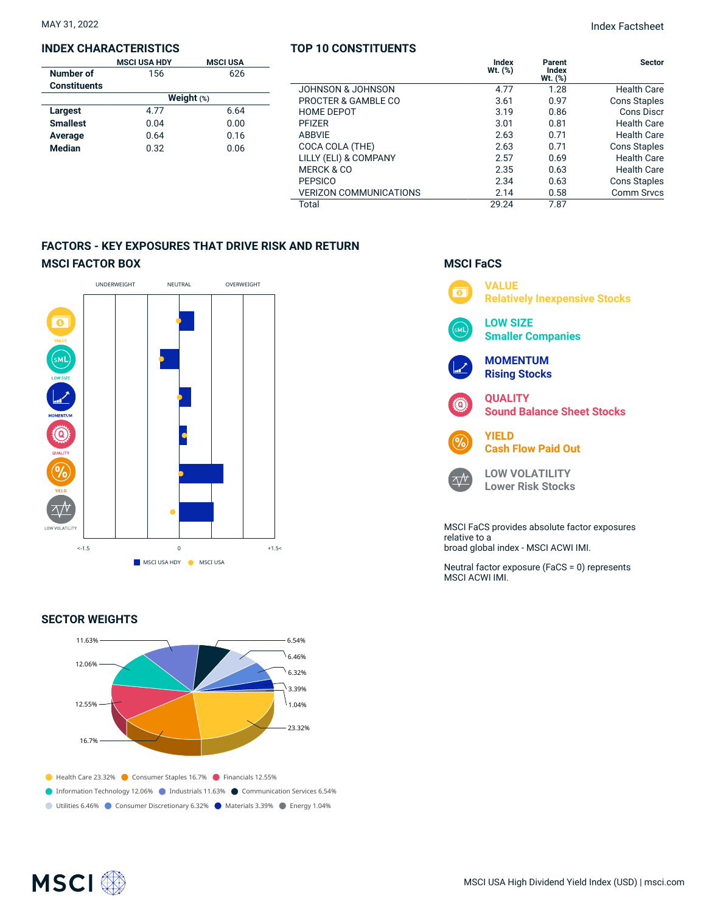#### **INDEX CHARACTERISTICS**

|                     | <b>MSCI USA HDY</b> | <b>MSCI USA</b> |  |  |  |  |  |
|---------------------|---------------------|-----------------|--|--|--|--|--|
| Number of           | 156                 | 626             |  |  |  |  |  |
| <b>Constituents</b> |                     |                 |  |  |  |  |  |
|                     | Weight $(*)$        |                 |  |  |  |  |  |
| Largest             | 4.77                | 6.64            |  |  |  |  |  |
| <b>Smallest</b>     | 0.04                | 0.00            |  |  |  |  |  |
| Average             | 0.64                | 0.16            |  |  |  |  |  |
| <b>Median</b>       | 0.32                | 0.06            |  |  |  |  |  |
|                     |                     |                 |  |  |  |  |  |

|                               | Index<br>$Wt.$ $(\%)$ | Parent<br>Index<br>$Wt.$ $(\%)$ | <b>Sector</b>       |
|-------------------------------|-----------------------|---------------------------------|---------------------|
| <b>JOHNSON &amp; JOHNSON</b>  | 4.77                  | 1.28                            | <b>Health Care</b>  |
| PROCTER & GAMBLE CO           | 3.61                  | 0.97                            | <b>Cons Staples</b> |
| <b>HOME DEPOT</b>             | 3.19                  | 0.86                            | Cons Discr          |
| <b>PFIZER</b>                 | 3.01                  | 0.81                            | <b>Health Care</b>  |
| <b>ABBVIE</b>                 | 2.63                  | 0.71                            | <b>Health Care</b>  |
| COCA COLA (THE)               | 2.63                  | 0.71                            | <b>Cons Staples</b> |
| LILLY (ELI) & COMPANY         | 2.57                  | 0.69                            | <b>Health Care</b>  |
| MERCK & CO                    | 2.35                  | 0.63                            | <b>Health Care</b>  |
| <b>PEPSICO</b>                | 2.34                  | 0.63                            | Cons Staples        |
| <b>VERIZON COMMUNICATIONS</b> | 2.14                  | 0.58                            | <b>Comm Srvcs</b>   |
| Total                         | 29.24                 | 7.87                            |                     |

# **FACTORS - KEY EXPOSURES THAT DRIVE RISK AND RETURN MSCI FACTOR BOX**



#### **SECTOR WEIGHTS**



# **MSCI FaCS**



relative to a broad global index - MSCI ACWI IMI.

Neutral factor exposure (FaCS = 0) represents MSCI ACWI IMI.

# **TOP 10 CONSTITUENTS**